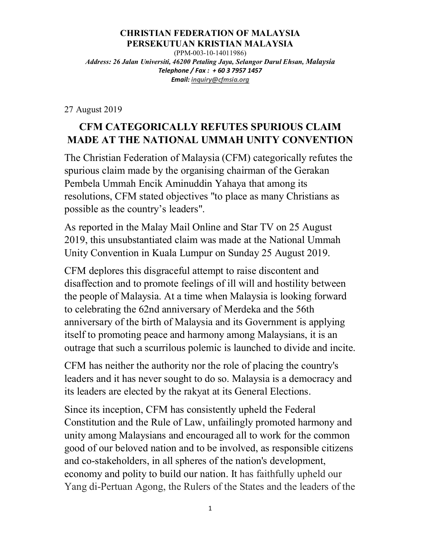## **CHRISTIAN FEDERATION OF MALAYSIA PERSEKUTUAN KRISTIAN MALAYSIA**

(PPM-003-10-14011986) *Address: 26 Jalan Universiti, 46200 Petaling Jaya, Selangor Darul Ehsan, Malaysia Telephone / Fax : + 60 3 7957 1457 Email: inquiry@cfmsia.org* 

27 August 2019

## **CFM CATEGORICALLY REFUTES SPURIOUS CLAIM MADE AT THE NATIONAL UMMAH UNITY CONVENTION**

The Christian Federation of Malaysia (CFM) categorically refutes the spurious claim made by the organising chairman of the Gerakan Pembela Ummah Encik Aminuddin Yahaya that among its resolutions, CFM stated objectives "to place as many Christians as possible as the country's leaders".

As reported in the Malay Mail Online and Star TV on 25 August 2019, this unsubstantiated claim was made at the National Ummah Unity Convention in Kuala Lumpur on Sunday 25 August 2019.

CFM deplores this disgraceful attempt to raise discontent and disaffection and to promote feelings of ill will and hostility between the people of Malaysia. At a time when Malaysia is looking forward to celebrating the 62nd anniversary of Merdeka and the 56th anniversary of the birth of Malaysia and its Government is applying itself to promoting peace and harmony among Malaysians, it is an outrage that such a scurrilous polemic is launched to divide and incite.

CFM has neither the authority nor the role of placing the country's leaders and it has never sought to do so. Malaysia is a democracy and its leaders are elected by the rakyat at its General Elections.

Since its inception, CFM has consistently upheld the Federal Constitution and the Rule of Law, unfailingly promoted harmony and unity among Malaysians and encouraged all to work for the common good of our beloved nation and to be involved, as responsible citizens and co-stakeholders, in all spheres of the nation's development, economy and polity to build our nation. It has faithfully upheld our Yang di-Pertuan Agong, the Rulers of the States and the leaders of the